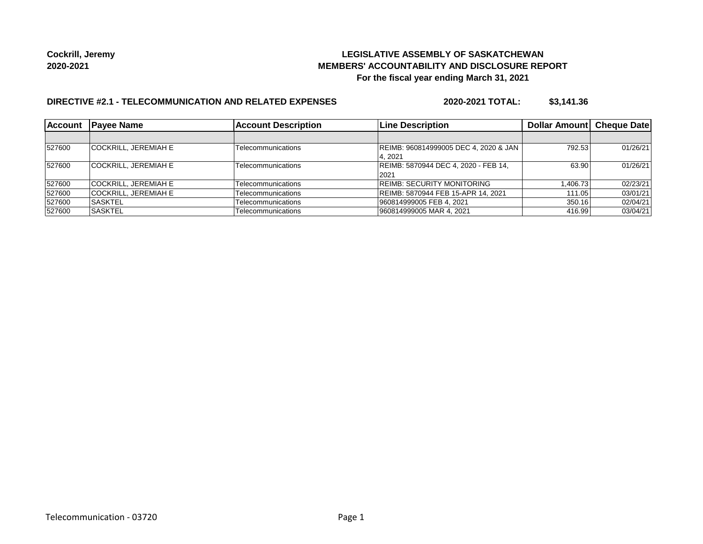## **LEGISLATIVE ASSEMBLY OF SASKATCHEWAN MEMBERS' ACCOUNTABILITY AND DISCLOSURE REPORT For the fiscal year ending March 31, 2021**

## **DIRECTIVE #2.1 - TELECOMMUNICATION AND RELATED EXPENSES**

**2020-2021 TOTAL: \$3,141.36**

| <b>Account</b> | <b>IPavee Name</b>          | <b>Account Description</b> | <b>Line Description</b>               | Dollar Amount   Cheque Date |          |
|----------------|-----------------------------|----------------------------|---------------------------------------|-----------------------------|----------|
|                |                             |                            |                                       |                             |          |
| 527600         | <b>COCKRILL, JEREMIAH E</b> | Telecommunications         | REIMB: 960814999005 DEC 4, 2020 & JAN | 792.53                      | 01/26/21 |
|                |                             |                            | 4.2021                                |                             |          |
| 527600         | <b>COCKRILL, JEREMIAH E</b> | Telecommunications         | REIMB: 5870944 DEC 4, 2020 - FEB 14,  | 63.90                       | 01/26/21 |
|                |                             |                            | 2021                                  |                             |          |
| 527600         | <b>COCKRILL, JEREMIAH E</b> | Telecommunications         | <b>REIMB: SECURITY MONITORING</b>     | 1.406.73                    | 02/23/21 |
| 527600         | <b>COCKRILL, JEREMIAH E</b> | Telecommunications         | REIMB: 5870944 FEB 15-APR 14, 2021    | 111.05                      | 03/01/21 |
| 527600         | <b>SASKTEL</b>              | Telecommunications         | 960814999005 FEB 4, 2021              | 350.16                      | 02/04/21 |
| 527600         | ISASKTEL                    | Telecommunications         | 960814999005 MAR 4, 2021              | 416.99                      | 03/04/21 |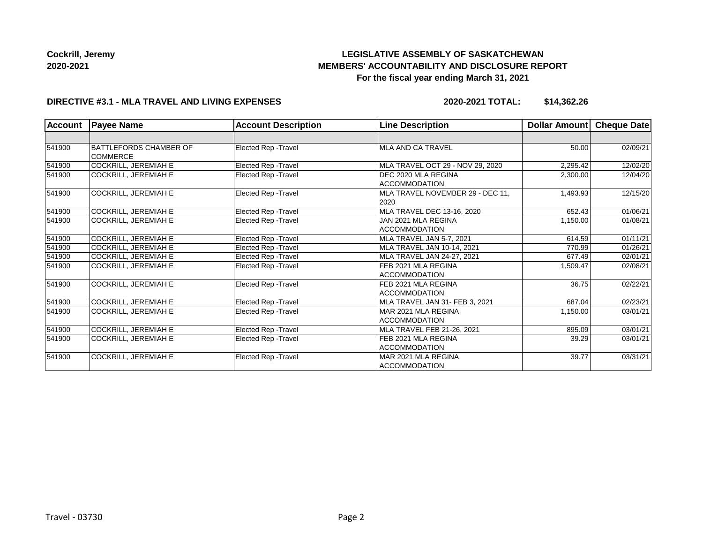# **LEGISLATIVE ASSEMBLY OF SASKATCHEWAN MEMBERS' ACCOUNTABILITY AND DISCLOSURE REPORT For the fiscal year ending March 31, 2021**

#### **DIRECTIVE #3.1 - MLA TRAVEL AND LIVING EXPENSES**

**2020-2021 TOTAL: \$14,362.26**

| <b>Account</b> | <b>Payee Name</b>                                | <b>Account Description</b>  | <b>Line Description</b>                     | Dollar Amount | Cheque Date |
|----------------|--------------------------------------------------|-----------------------------|---------------------------------------------|---------------|-------------|
|                |                                                  |                             |                                             |               |             |
| 541900         | <b>BATTLEFORDS CHAMBER OF</b><br><b>COMMERCE</b> | Elected Rep - Travel        | MLA AND CA TRAVEL                           | 50.00         | 02/09/21    |
| 541900         | <b>COCKRILL, JEREMIAH E</b>                      | Elected Rep - Travel        | MLA TRAVEL OCT 29 - NOV 29, 2020            | 2,295.42      | 12/02/20    |
| 541900         | <b>COCKRILL, JEREMIAH E</b>                      | Elected Rep - Travel        | DEC 2020 MLA REGINA<br><b>ACCOMMODATION</b> | 2,300.00      | 12/04/20    |
| 541900         | COCKRILL, JEREMIAH E                             | Elected Rep - Travel        | MLA TRAVEL NOVEMBER 29 - DEC 11,<br>2020    | 1,493.93      | 12/15/20    |
| 541900         | <b>COCKRILL, JEREMIAH E</b>                      | Elected Rep - Travel        | MLA TRAVEL DEC 13-16, 2020                  | 652.43        | 01/06/21    |
| 541900         | COCKRILL, JEREMIAH E                             | Elected Rep - Travel        | JAN 2021 MLA REGINA<br>ACCOMMODATION        | 1,150.00      | 01/08/21    |
| 541900         | <b>COCKRILL, JEREMIAH E</b>                      | Elected Rep - Travel        | MLA TRAVEL JAN 5-7, 2021                    | 614.59        | 01/11/21    |
| 541900         | <b>COCKRILL, JEREMIAH E</b>                      | Elected Rep - Travel        | MLA TRAVEL JAN 10-14, 2021                  | 770.99        | 01/26/21    |
| 541900         | <b>COCKRILL, JEREMIAH E</b>                      | Elected Rep - Travel        | MLA TRAVEL JAN 24-27, 2021                  | 677.49        | 02/01/21    |
| 541900         | <b>COCKRILL, JEREMIAH E</b>                      | <b>Elected Rep - Travel</b> | FEB 2021 MLA REGINA<br><b>ACCOMMODATION</b> | 1,509.47      | 02/08/21    |
| 541900         | <b>COCKRILL, JEREMIAH E</b>                      | Elected Rep - Travel        | FEB 2021 MLA REGINA<br><b>ACCOMMODATION</b> | 36.75         | 02/22/21    |
| 541900         | COCKRILL, JEREMIAH E                             | Elected Rep - Travel        | MLA TRAVEL JAN 31- FEB 3, 2021              | 687.04        | 02/23/21    |
| 541900         | COCKRILL, JEREMIAH E                             | Elected Rep - Travel        | MAR 2021 MLA REGINA<br>ACCOMMODATION        | 1,150.00      | 03/01/21    |
| 541900         | <b>COCKRILL, JEREMIAH E</b>                      | Elected Rep - Travel        | MLA TRAVEL FEB 21-26, 2021                  | 895.09        | 03/01/21    |
| 541900         | <b>COCKRILL, JEREMIAH E</b>                      | Elected Rep - Travel        | FEB 2021 MLA REGINA<br><b>ACCOMMODATION</b> | 39.29         | 03/01/21    |
| 541900         | <b>COCKRILL, JEREMIAH E</b>                      | Elected Rep - Travel        | MAR 2021 MLA REGINA<br><b>ACCOMMODATION</b> | 39.77         | 03/31/21    |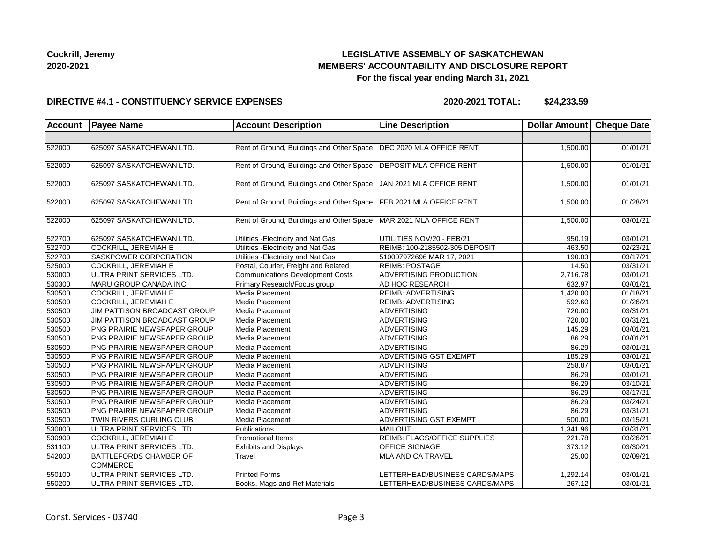## **LEGISLATIVE ASSEMBLY OF SASKATCHEWAN MEMBERS' ACCOUNTABILITY AND DISCLOSURE REPORT For the fiscal year ending March 31, 2021**

#### **DIRECTIVE #4.1 - CONSTITUENCY SERVICE EXPENSES**

**2020-2021 TOTAL: \$24,233.59**

| <b>Account</b> | <b>Payee Name</b>                                | <b>Account Description</b>                | <b>Line Description</b>             | Dollar Amount Cheque Date |          |
|----------------|--------------------------------------------------|-------------------------------------------|-------------------------------------|---------------------------|----------|
|                |                                                  |                                           |                                     |                           |          |
| 522000         | 625097 SASKATCHEWAN LTD.                         | Rent of Ground, Buildings and Other Space | DEC 2020 MLA OFFICE RENT            | 1,500.00                  | 01/01/21 |
|                |                                                  |                                           |                                     |                           |          |
| 522000         | 625097 SASKATCHEWAN LTD.                         | Rent of Ground, Buildings and Other Space | <b>DEPOSIT MLA OFFICE RENT</b>      | 1,500.00                  | 01/01/21 |
| 522000         | 625097 SASKATCHEWAN LTD.                         | Rent of Ground, Buildings and Other Space | JAN 2021 MLA OFFICE RENT            | 1,500.00                  | 01/01/21 |
| 522000         | 625097 SASKATCHEWAN LTD.                         | Rent of Ground, Buildings and Other Space | <b>FEB 2021 MLA OFFICE RENT</b>     | 1,500.00                  | 01/28/21 |
| 522000         | 625097 SASKATCHEWAN LTD.                         | Rent of Ground, Buildings and Other Space | MAR 2021 MLA OFFICE RENT            | 1,500.00                  | 03/01/21 |
| 522700         | 625097 SASKATCHEWAN LTD.                         | Utilities - Electricity and Nat Gas       | UTILITIES NOV/20 - FEB/21           | 950.19                    | 03/01/21 |
| 522700         | COCKRILL, JEREMIAH E                             | Utilities - Electricity and Nat Gas       | REIMB: 100-2185502-305 DEPOSIT      | 463.50                    | 02/23/21 |
| 522700         | SASKPOWER CORPORATION                            | Utilities - Electricity and Nat Gas       | 510007972696 MAR 17, 2021           | 190.03                    | 03/17/21 |
| 525000         | COCKRILL, JEREMIAH E                             | Postal, Courier, Freight and Related      | <b>REIMB: POSTAGE</b>               | 14.50                     | 03/31/21 |
| 530000         | ULTRA PRINT SERVICES LTD.                        | <b>Communications Development Costs</b>   | ADVERTISING PRODUCTION              | 2,716.78                  | 03/01/21 |
| 530300         | MARU GROUP CANADA INC.                           | Primary Research/Focus group              | AD HOC RESEARCH                     | 632.97                    | 03/01/21 |
| 530500         | <b>COCKRILL, JEREMIAH E</b>                      | Media Placement                           | <b>REIMB: ADVERTISING</b>           | 1,420.00                  | 01/18/21 |
| 530500         | COCKRILL, JEREMIAH E                             | Media Placement                           | <b>REIMB: ADVERTISING</b>           | 592.60                    | 01/26/21 |
| 530500         | JIM PATTISON BROADCAST GROUP                     | Media Placement                           | <b>ADVERTISING</b>                  | 720.00                    | 03/31/21 |
| 530500         | JIM PATTISON BROADCAST GROUP                     | Media Placement                           | ADVERTISING                         | 720.00                    | 03/31/21 |
| 530500         | PNG PRAIRIE NEWSPAPER GROUP                      | Media Placement                           | ADVERTISING                         | 145.29                    | 03/01/21 |
| 530500         | PNG PRAIRIE NEWSPAPER GROUP                      | Media Placement                           | ADVERTISING                         | 86.29                     | 03/01/21 |
| 530500         | PNG PRAIRIE NEWSPAPER GROUP                      | Media Placement                           | ADVERTISING                         | 86.29                     | 03/01/21 |
| 530500         | PNG PRAIRIE NEWSPAPER GROUP                      | Media Placement                           | ADVERTISING GST EXEMPT              | 185.29                    | 03/01/21 |
| 530500         | PNG PRAIRIE NEWSPAPER GROUP                      | Media Placement                           | <b>ADVERTISING</b>                  | 258.87                    | 03/01/21 |
| 530500         | PNG PRAIRIE NEWSPAPER GROUP                      | Media Placement                           | ADVERTISING                         | 86.29                     | 03/01/21 |
| 530500         | PNG PRAIRIE NEWSPAPER GROUP                      | Media Placement                           | <b>ADVERTISING</b>                  | 86.29                     | 03/10/21 |
| 530500         | PNG PRAIRIE NEWSPAPER GROUP                      | Media Placement                           | <b>ADVERTISING</b>                  | 86.29                     | 03/17/21 |
| 530500         | PNG PRAIRIE NEWSPAPER GROUP                      | Media Placement                           | <b>ADVERTISING</b>                  | 86.29                     | 03/24/21 |
| 530500         | PNG PRAIRIE NEWSPAPER GROUP                      | Media Placement                           | <b>ADVERTISING</b>                  | 86.29                     | 03/31/21 |
| 530500         | TWIN RIVERS CURLING CLUB                         | Media Placement                           | <b>ADVERTISING GST EXEMPT</b>       | 500.00                    | 03/15/21 |
| 530800         | ULTRA PRINT SERVICES LTD.                        | Publications                              | <b>MAILOUT</b>                      | 1,341.96                  | 03/31/21 |
| 530900         | COCKRILL, JEREMIAH E                             | Promotional Items                         | <b>REIMB: FLAGS/OFFICE SUPPLIES</b> | 221.78                    | 03/26/21 |
| 531100         | ULTRA PRINT SERVICES LTD.                        | <b>Exhibits and Displays</b>              | OFFICE SIGNAGE                      | 373.12                    | 03/30/21 |
| 542000         | <b>BATTLEFORDS CHAMBER OF</b><br><b>COMMERCE</b> | Travel                                    | MLA AND CA TRAVEL                   | 25.00                     | 02/09/21 |
| 550100         | ULTRA PRINT SERVICES LTD.                        | <b>Printed Forms</b>                      | LETTERHEAD/BUSINESS CARDS/MAPS      | 1,292.14                  | 03/01/21 |
| 550200         | ULTRA PRINT SERVICES LTD.                        | Books, Mags and Ref Materials             | LETTERHEAD/BUSINESS CARDS/MAPS      | 267.12                    | 03/01/21 |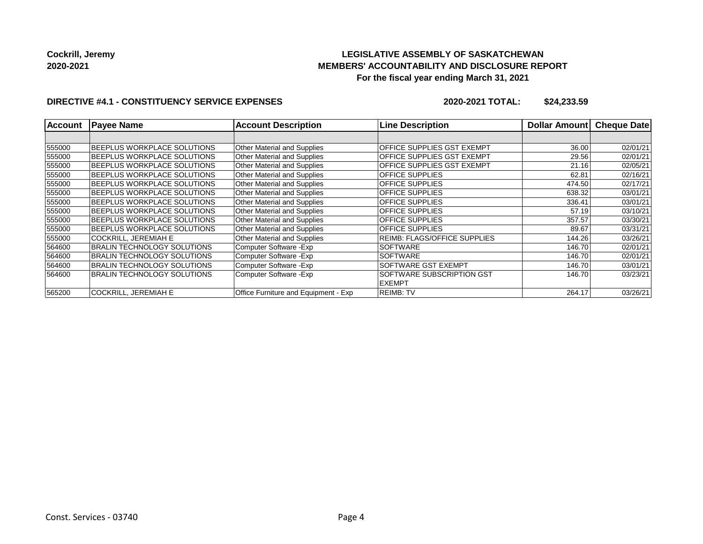## **LEGISLATIVE ASSEMBLY OF SASKATCHEWAN MEMBERS' ACCOUNTABILITY AND DISCLOSURE REPORT For the fiscal year ending March 31, 2021**

#### **DIRECTIVE #4.1 - CONSTITUENCY SERVICE EXPENSES**

**2020-2021 TOTAL: \$24,233.59**

| <b>Account</b> | <b>Payee Name</b>                   | <b>Account Description</b>           | <b>Line Description</b>             | Dollar Amount | <b>Cheque Date</b> |
|----------------|-------------------------------------|--------------------------------------|-------------------------------------|---------------|--------------------|
|                |                                     |                                      |                                     |               |                    |
| 555000         | <b>BEEPLUS WORKPLACE SOLUTIONS</b>  | <b>Other Material and Supplies</b>   | <b>OFFICE SUPPLIES GST EXEMPT</b>   | 36.00         | 02/01/21           |
| 555000         | <b>IBEEPLUS WORKPLACE SOLUTIONS</b> | Other Material and Supplies          | OFFICE SUPPLIES GST EXEMPT          | 29.56         | 02/01/21           |
| 555000         | <b>IBEEPLUS WORKPLACE SOLUTIONS</b> | <b>Other Material and Supplies</b>   | OFFICE SUPPLIES GST EXEMPT          | 21.16         | 02/05/21           |
| 555000         | BEEPLUS WORKPLACE SOLUTIONS         | Other Material and Supplies          | <b>OFFICE SUPPLIES</b>              | 62.81         | 02/16/21           |
| 555000         | BEEPLUS WORKPLACE SOLUTIONS         | <b>Other Material and Supplies</b>   | <b>OFFICE SUPPLIES</b>              | 474.50        | 02/17/21           |
| 555000         | BEEPLUS WORKPLACE SOLUTIONS         | <b>Other Material and Supplies</b>   | <b>OFFICE SUPPLIES</b>              | 638.32        | 03/01/21           |
| 555000         | <b>BEEPLUS WORKPLACE SOLUTIONS</b>  | Other Material and Supplies          | <b>OFFICE SUPPLIES</b>              | 336.41        | 03/01/21           |
| 555000         | BEEPLUS WORKPLACE SOLUTIONS         | <b>Other Material and Supplies</b>   | <b>OFFICE SUPPLIES</b>              | 57.19         | 03/10/21           |
| 555000         | <b>IBEEPLUS WORKPLACE SOLUTIONS</b> | <b>Other Material and Supplies</b>   | <b>OFFICE SUPPLIES</b>              | 357.57        | 03/30/21           |
| 555000         | <b>IBEEPLUS WORKPLACE SOLUTIONS</b> | Other Material and Supplies          | <b>OFFICE SUPPLIES</b>              | 89.67         | 03/31/21           |
| 555000         | <b>COCKRILL, JEREMIAH E</b>         | <b>Other Material and Supplies</b>   | <b>REIMB: FLAGS/OFFICE SUPPLIES</b> | 144.26        | 03/26/21           |
| 564600         | BRALIN TECHNOLOGY SOLUTIONS         | Computer Software - Exp              | <b>SOFTWARE</b>                     | 146.70        | 02/01/21           |
| 564600         | IBRALIN TECHNOLOGY SOLUTIONS        | Computer Software - Exp              | <b>SOFTWARE</b>                     | 146.70        | 02/01/21           |
| 564600         | BRALIN TECHNOLOGY SOLUTIONS         | Computer Software - Exp              | <b>SOFTWARE GST EXEMPT</b>          | 146.70        | 03/01/21           |
| 564600         | BRALIN TECHNOLOGY SOLUTIONS         | Computer Software - Exp              | <b>SOFTWARE SUBSCRIPTION GST</b>    | 146.70        | 03/23/21           |
|                |                                     |                                      | <b>EXEMPT</b>                       |               |                    |
| 565200         | COCKRILL, JEREMIAH E                | Office Furniture and Equipment - Exp | <b>REIMB: TV</b>                    | 264.17        | 03/26/21           |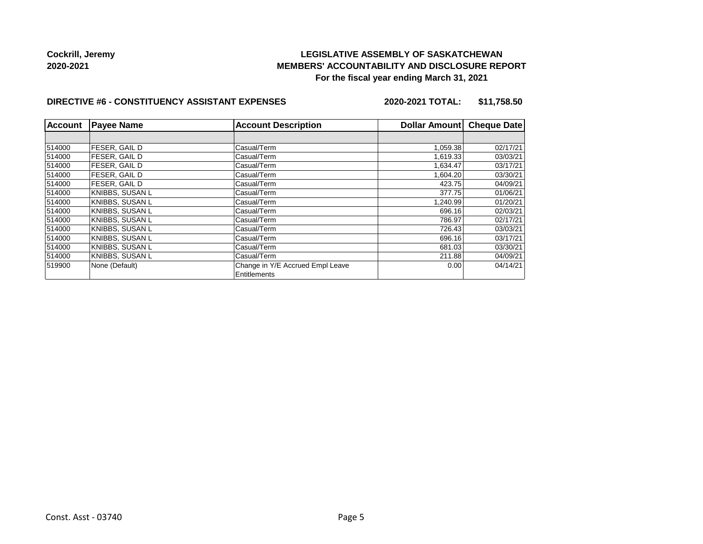## **LEGISLATIVE ASSEMBLY OF SASKATCHEWAN MEMBERS' ACCOUNTABILITY AND DISCLOSURE REPORT For the fiscal year ending March 31, 2021**

#### **DIRECTIVE #6 - CONSTITUENCY ASSISTANT EXPENSES**

**2020-2021 TOTAL: \$11,758.50**

| <b>Account</b> | <b>Payee Name</b>    | <b>Account Description</b>       | Dollar Amount | <b>Cheque Date</b> |
|----------------|----------------------|----------------------------------|---------------|--------------------|
|                |                      |                                  |               |                    |
| 514000         | <b>FESER, GAIL D</b> | Casual/Term                      | 1,059.38      | 02/17/21           |
| 514000         | FESER, GAIL D        | Casual/Term                      | 1,619.33      | 03/03/21           |
| 514000         | <b>FESER, GAIL D</b> | Casual/Term                      | 1.634.47      | 03/17/21           |
| 514000         | <b>FESER, GAILD</b>  | Casual/Term                      | 1,604.20      | 03/30/21           |
| 514000         | FESER. GAIL D        | Casual/Term                      | 423.75        | 04/09/21           |
| 514000         | KNIBBS, SUSAN L      | Casual/Term                      | 377.75        | 01/06/21           |
| 514000         | KNIBBS. SUSAN L      | Casual/Term                      | 1.240.99      | 01/20/21           |
| 514000         | KNIBBS, SUSAN L      | Casual/Term                      | 696.16        | 02/03/21           |
| 514000         | KNIBBS. SUSAN L      | Casual/Term                      | 786.97        | 02/17/21           |
| 514000         | KNIBBS, SUSAN L      | Casual/Term                      | 726.43        | 03/03/21           |
| 514000         | KNIBBS. SUSAN L      | Casual/Term                      | 696.16        | 03/17/21           |
| 514000         | KNIBBS, SUSAN L      | Casual/Term                      | 681.03        | 03/30/21           |
| 514000         | KNIBBS, SUSAN L      | Casual/Term                      | 211.88        | 04/09/21           |
| 519900         | None (Default)       | Change in Y/E Accrued Empl Leave | 0.00          | 04/14/21           |
|                |                      | Entitlements                     |               |                    |